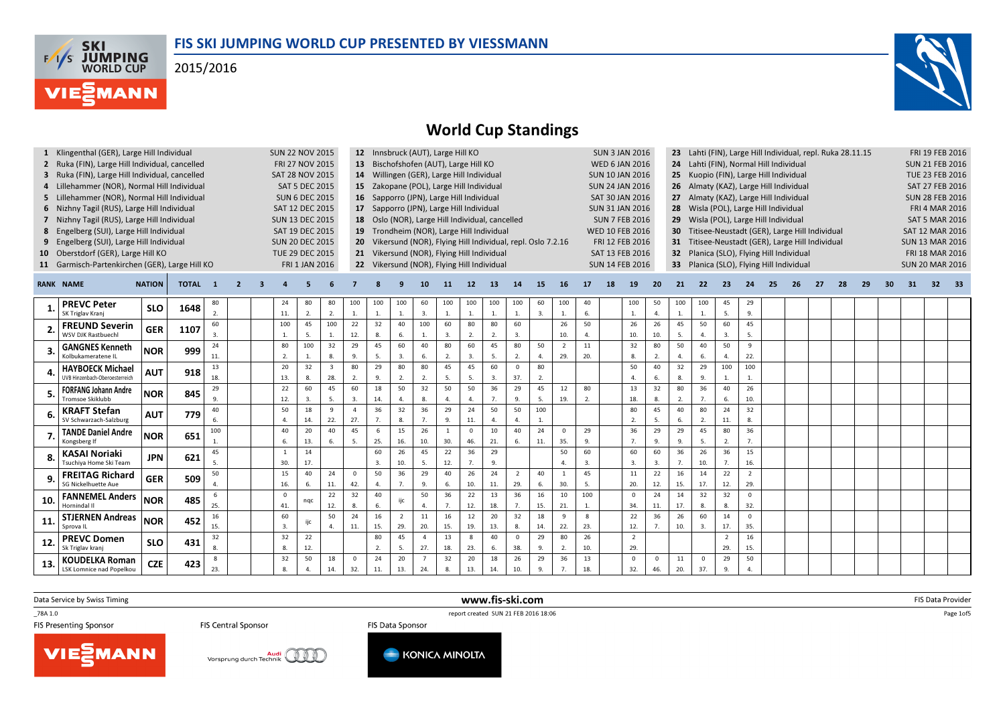### FIS SKI JUMPING WORLD CUP PRESENTED BY VIESSMANN

2015/2016





## World Cup Standings

|     | Klingenthal (GER), Large Hill Individual                  |               |              |                |                          |                  | <b>SUN 22 NOV 2015</b> |                         |                 |          |              | 12 Innsbruck (AUT), Large Hill KO               |                |                  |                |                |                                                            |                |     |    | <b>SUN 3 JAN 2016</b>  |                  |                 | Lahti (FIN), Large Hill Individual, repl. Ruka 28.11.15 |                      |                |    |    |    |    |    |    |                        | <b>FRI 19 FEB 2016</b> |       |
|-----|-----------------------------------------------------------|---------------|--------------|----------------|--------------------------|------------------|------------------------|-------------------------|-----------------|----------|--------------|-------------------------------------------------|----------------|------------------|----------------|----------------|------------------------------------------------------------|----------------|-----|----|------------------------|------------------|-----------------|---------------------------------------------------------|----------------------|----------------|----|----|----|----|----|----|------------------------|------------------------|-------|
|     | 2 Ruka (FIN), Large Hill Individual, cancelled            |               |              |                |                          |                  | FRI 27 NOV 2015        |                         |                 |          |              | 13 Bischofshofen (AUT), Large Hill KO           |                |                  |                |                |                                                            |                |     |    | <b>WED 6 JAN 2016</b>  |                  |                 | 24 Lahti (FIN), Normal Hill Individual                  |                      |                |    |    |    |    |    |    |                        | <b>SUN 21 FEB 2016</b> |       |
|     | 3 Ruka (FIN), Large Hill Individual, cancelled            |               |              |                |                          |                  | <b>SAT 28 NOV 2015</b> |                         |                 |          |              | 14 Willingen (GER), Large Hill Individual       |                |                  |                |                |                                                            |                |     |    | <b>SUN 10 JAN 2016</b> |                  |                 | 25 Kuopio (FIN), Large Hill Individual                  |                      |                |    |    |    |    |    |    |                        | TUE 23 FEB 2016        |       |
|     | 4 Lillehammer (NOR), Normal Hill Individual               |               |              |                |                          |                  | <b>SAT 5 DEC 2015</b>  |                         |                 |          |              | 15 Zakopane (POL), Large Hill Individual        |                |                  |                |                |                                                            |                |     |    | <b>SUN 24 JAN 2016</b> |                  |                 | 26 Almaty (KAZ), Large Hill Individual                  |                      |                |    |    |    |    |    |    |                        | SAT 27 FEB 2016        |       |
|     | 5 Lillehammer (NOR), Normal Hill Individual               |               |              |                |                          |                  | <b>SUN 6 DEC 2015</b>  |                         |                 |          |              | 16 Sapporro (JPN), Large Hill Individual        |                |                  |                |                |                                                            |                |     |    | SAT 30 JAN 2016        |                  | 27              | Almaty (KAZ), Large Hill Individual                     |                      |                |    |    |    |    |    |    |                        | <b>SUN 28 FEB 2016</b> |       |
|     | 6 Nizhny Tagil (RUS), Large Hill Individual               |               |              |                |                          |                  | SAT 12 DEC 2015        |                         |                 |          |              | 17 Sapporro (JPN), Large Hill Individual        |                |                  |                |                |                                                            |                |     |    | <b>SUN 31 JAN 2016</b> |                  |                 | 28 Wisla (POL), Large Hill Individual                   |                      |                |    |    |    |    |    |    |                        | <b>FRI 4 MAR 2016</b>  |       |
|     | 7 Nizhny Tagil (RUS), Large Hill Individual               |               |              |                |                          |                  | <b>SUN 13 DEC 2015</b> |                         |                 |          |              | 18 Oslo (NOR), Large Hill Individual, cancelled |                |                  |                |                |                                                            |                |     |    | <b>SUN 7 FEB 2016</b>  |                  | 29              | Wisla (POL), Large Hill Individual                      |                      |                |    |    |    |    |    |    |                        | <b>SAT 5 MAR 2016</b>  |       |
|     | 8 Engelberg (SUI), Large Hill Individual                  |               |              |                |                          |                  | SAT 19 DEC 2015        |                         |                 |          |              | 19 Trondheim (NOR), Large Hill Individual       |                |                  |                |                |                                                            |                |     |    | <b>WED 10 FEB 2016</b> |                  | 30              | Titisee-Neustadt (GER), Large Hill Individual           |                      |                |    |    |    |    |    |    |                        | <b>SAT 12 MAR 2016</b> |       |
| 9   | Engelberg (SUI), Large Hill Individual                    |               |              |                |                          |                  | <b>SUN 20 DEC 2015</b> |                         | 20 <sub>2</sub> |          |              |                                                 |                |                  |                |                | Vikersund (NOR), Flying Hill Individual, repl. Oslo 7.2.16 |                |     |    | FRI 12 FEB 2016        |                  | 31              | Titisee-Neustadt (GER), Large Hill Individual           |                      |                |    |    |    |    |    |    | <b>SUN 13 MAR 2016</b> |                        |       |
| 10  | Oberstdorf (GER), Large Hill KO                           |               |              |                |                          |                  | TUE 29 DEC 2015        |                         |                 |          |              | 21 Vikersund (NOR), Flying Hill Individual      |                |                  |                |                |                                                            |                |     |    | SAT 13 FEB 2016        |                  | 32 <sub>2</sub> | Planica (SLO), Flying Hill Individual                   |                      |                |    |    |    |    |    |    |                        | FRI 18 MAR 2016        |       |
|     | 11 Garmisch-Partenkirchen (GER), Large Hill KO            |               |              |                |                          |                  | FRI 1 JAN 2016         |                         |                 |          |              | 22 Vikersund (NOR), Flying Hill Individual      |                |                  |                |                |                                                            |                |     |    | <b>SUN 14 FEB 2016</b> |                  | 33 <sup>2</sup> | Planica (SLO), Flying Hill Individual                   |                      |                |    |    |    |    |    |    | <b>SUN 20 MAR 2016</b> |                        |       |
|     |                                                           |               |              |                |                          |                  |                        |                         |                 |          |              |                                                 |                |                  |                |                |                                                            |                |     |    |                        |                  |                 |                                                         |                      |                |    |    |    |    |    |    |                        |                        |       |
|     | <b>RANK NAME</b>                                          | <b>NATION</b> | <b>TOTAL</b> | - 1            | $\overline{\phantom{a}}$ |                  |                        |                         |                 |          |              | 10                                              | <b>11</b>      | 12               | 13             | 14             | 15                                                         | -16            | 17  | 18 | 19                     | 20               | 21              | 22                                                      | -23                  | 24             | 25 | 26 | 27 | 28 | 29 | 30 | 31                     | 32                     | $-33$ |
|     | <b>PREVC Peter</b>                                        | <b>SLO</b>    | 1648         | 80             |                          | 24               | 80                     | 80                      | 100             | 100      | 100          | 60                                              | 100            | 100              | 100            | 100            | 60                                                         | 100            | 40  |    | 100                    | 50               | 100             | 100                                                     | 45                   | 29             |    |    |    |    |    |    |                        |                        |       |
|     | SK Triglav Krani                                          |               |              | 2.             |                          | 11.              | 2.                     | 2.                      | 1.              | 1.       | 1.           | 3.                                              | 1.             | $\mathbf{1}$ .   |                | $\mathbf{1}$   | 3.                                                         | 1.             | 6.  |    | $\mathbf{1}$           | $\overline{4}$   | 1.              | $\mathbf{1}$                                            | 5.                   | 9.             |    |    |    |    |    |    |                        |                        |       |
|     | <b>FREUND Severin</b>                                     | <b>GER</b>    | 1107         | 60             |                          | 100              | 45                     | 100                     | 22              | 32       | 40           | 100                                             | 60             | 80               | 80             | 60             |                                                            | 26             | 50  |    | 26                     | 26               | 45              | 50                                                      | 60                   | 45             |    |    |    |    |    |    |                        |                        |       |
|     | WSV DJK Rastbuech                                         |               |              | $\overline{3}$ |                          | $\mathbf{1}$     | .5.                    | $\overline{1}$          | 12.             | 8.       | 6.           | 1.                                              | 3.             | 2.               | 2.             | 3.             |                                                            | 10.            |     |    | 10.                    | 10.              | 5.              | 4.                                                      | 3.                   | 5.             |    |    |    |    |    |    |                        |                        |       |
|     | <b>GANGNES Kenneth</b>                                    | <b>NOR</b>    | 999          | 24             |                          | 80               | 100                    | 32                      | 29              | 45       | 60           | 40                                              | 80             | 60               | 45             | 80             | 50                                                         | $\overline{2}$ | 11  |    | 32                     | 80               | 50              | 40                                                      | 50                   | 9              |    |    |    |    |    |    |                        |                        |       |
|     | Kolbukameratene IL                                        |               |              | 11.            |                          | 2.               | 1.                     | $\mathbf{R}$            | 9.              | 5.       | 3.           | 6.                                              | 2.             | $\overline{3}$ . | 5.             | 2.             | 4.                                                         | 29.            | 20. |    | 8                      | 2.               | $\Delta$        | 6.                                                      | 4.                   | 22.            |    |    |    |    |    |    |                        |                        |       |
| Δ   | <b>HAYBOECK Michael</b><br>UVB Hinzenbach-Oberoesterreich | <b>AUT</b>    | 918          | 13             |                          | 20               | 32                     | $\overline{\mathbf{3}}$ | 80              | 29       | 80           | 80                                              | 45             | 45               | 60             | $\Omega$       | 80                                                         |                |     |    | 50<br>$\Lambda$        | 40<br>6.         | 32              | 29                                                      | 100                  | 100            |    |    |    |    |    |    |                        |                        |       |
|     |                                                           |               |              | 18.<br>29      |                          | 13.<br>22        | 8.<br>60               | 28.<br>45               | 2.<br>60        | 9.<br>18 | 2.<br>50     | 2.<br>32                                        | 5.<br>50       | 5.<br>50         | 3.<br>36       | 37.<br>29      | 2.<br>45                                                   | 12             | 80  |    | 13                     | 32               | 8.<br>80        | 9.<br>36                                                | $\overline{1}$<br>40 | 1.<br>26       |    |    |    |    |    |    |                        |                        |       |
|     | <b>FORFANG Johann Andre</b><br>Tromsoe Skiklubb           | <b>NOR</b>    | 845          | 9.             |                          | 12.              | 3.                     | -5.                     | 3.              | 14.      | $\mathbf{4}$ | 8.                                              | 4              | $\mathbf{4}$     | 7 <sub>1</sub> | 9.             | 5.                                                         | 19.            | 2.  |    | 18.                    | 8.               | 2.              | 7.                                                      | 6.                   | 10.            |    |    |    |    |    |    |                        |                        |       |
|     | <b>KRAFT Stefan</b>                                       |               |              | 40             |                          | 50               | 18                     | 9                       | $\mathbf{A}$    | 36       | 32           | 36                                              | 29             | 24               | 50             | 50             | 100                                                        |                |     |    | 80                     | 45               | 40              | 80                                                      | 24                   | 32             |    |    |    |    |    |    |                        |                        |       |
|     | SV Schwarzach-Salzburg                                    | <b>AUT</b>    | 779          | 6.             |                          | $\Delta$         | 14.                    | 22.                     | 27.             | 7.       | 8.           | 7.                                              | 9.             | 11.              | $\Lambda$      | $\Delta$       | 1.                                                         |                |     |    | $\overline{2}$         | 5.               | 6.              | 2.                                                      | 11.                  | 8.             |    |    |    |    |    |    |                        |                        |       |
|     | <b>TANDE Daniel Andre</b>                                 |               |              | 100            |                          | 40               | 20                     | 40                      | 45              | 6        | 15           | 26                                              | $\overline{1}$ | $\mathbf 0$      | 10             | 40             | 24                                                         | $\overline{0}$ | 29  |    | 36                     | 29               | 29              | 45                                                      | 80                   | 36             |    |    |    |    |    |    |                        |                        |       |
|     | Kongsberg If                                              | <b>NOR</b>    | 651          | $\overline{1}$ |                          | 6.               | 13.                    | 6.                      | 5.              | 25.      | 16.          | 10.                                             | 30.            | 46.              | 21.            | 6.             | 11.                                                        | 35.            | 9.  |    | $\overline{7}$         | 9.               | 9.              | 5.                                                      | 2.                   | 7.             |    |    |    |    |    |    |                        |                        |       |
|     | <b>KASAI Noriaki</b>                                      |               |              | 45             |                          |                  | 14                     |                         |                 | 60       | 26           | 45                                              | 22             | 36               | 29             |                |                                                            | 50             | 60  |    | 60                     | 60               | 36              | 26                                                      | 36                   | 15             |    |    |    |    |    |    |                        |                        |       |
|     | Tsuchiva Home Ski Team                                    | <b>JPN</b>    | 621          |                |                          | 30.              | 17.                    |                         |                 | 3.       | 10.          | 5.                                              | 12.            | 7 <sub>1</sub>   | 9.             |                |                                                            |                | 3.  |    | $\overline{3}$         | $\overline{3}$ . | 7 <sub>1</sub>  | 10.                                                     | 7 <sub>1</sub>       | 16.            |    |    |    |    |    |    |                        |                        |       |
| 9   | <b>FREITAG Richard</b>                                    | <b>GER</b>    |              | 50             |                          | 15               | 40                     | 24                      | $\Omega$        | 50       | 36           | 29                                              | 40             | 26               | 24             | $\overline{2}$ | 40                                                         | $\overline{1}$ | 45  |    | 11                     | 22               | 16              | 14                                                      | 22                   | $\overline{2}$ |    |    |    |    |    |    |                        |                        |       |
|     | SG Nickelhuette Aue                                       |               | 509          | $\overline{4}$ |                          | 16.              | 6.                     | 11.                     | 42.             | 4.       | 7.           | 9.                                              | 6.             | 10.              | 11.            | 29.            | 6.                                                         | 30.            | 5.  |    | 20.                    | 12.              | 15.             | 17.                                                     | 12.                  | 29.            |    |    |    |    |    |    |                        |                        |       |
| 10  | <b>FANNEMEL Anders</b>                                    | <b>NOR</b>    | 485          | -6             |                          | $\Omega$         | ngc                    | 22                      | 32              | 40       | ijc          | 50                                              | 36             | 22               | 13             | 36             | 16                                                         | 10             | 100 |    | $\Omega$               | 24               | 14              | 32                                                      | 32                   | $\Omega$       |    |    |    |    |    |    |                        |                        |       |
|     | Hornindal II                                              |               |              | 25.            |                          | 41.              |                        | 12.                     | 8.              | 6.       |              | 4.                                              | 7.             | 12.              | 18.            | 7.             | 15.                                                        | 21.            | 1.  |    | 34.                    | 11.              | 17.             | 8.                                                      | 8.                   | 32.            |    |    |    |    |    |    |                        |                        |       |
| 11  | <b>STJERNEN Andreas</b>                                   | <b>NOR</b>    | 452          | 16             |                          | 60               | ijc                    | 50                      | 24              | 16       | 2            | 11                                              | 16             | 12               | 20             | 32             | 18                                                         | 9              | 8   |    | 22                     | 36               | 26              | 60                                                      | 14                   | $\Omega$       |    |    |    |    |    |    |                        |                        |       |
|     | Sprova IL                                                 |               |              | 15.            |                          | $\overline{3}$ . |                        |                         | 11.             | 15.      | 29.          | 20.                                             | 15.            | 19.              | 13.            | 8.             | 14.                                                        | 22.            | 23. |    | 12.                    | 7.               | 10.             | 3.                                                      | 17.                  | 35.            |    |    |    |    |    |    |                        |                        |       |
| 12. | <b>PREVC Domen</b>                                        | <b>SLO</b>    | 431          | 32             |                          | 32               | 22                     |                         |                 | 80       | 45           | $\overline{4}$                                  | 13             | 8                | 40             | $\mathbf{0}$   | 29                                                         | 80             | 26  |    | $\overline{2}$         |                  |                 |                                                         | $\overline{2}$       | 16             |    |    |    |    |    |    |                        |                        |       |
|     | Sk Triglav kranj                                          |               |              | 8.             |                          | $\mathbf{R}$     | 12.                    |                         |                 | 2.       | 5.           | 27.                                             | 18.            | 23.              | 6.             | 38.            | 9.                                                         | 2.             | 10. |    | 29.                    |                  |                 |                                                         | 29.                  | 15.            |    |    |    |    |    |    |                        |                        |       |
| 13. | <b>KOUDELKA Roman</b>                                     | <b>CZE</b>    | 423          | 8              |                          | 32               | 50                     | 18                      | $\Omega$        | 24       | 20           | $\overline{7}$                                  | 32             | 20               | 18             | 26             | 29                                                         | 36             | 13  |    | $\Omega$               | $\Omega$         | 11              | $\overline{0}$                                          | 29                   | 50             |    |    |    |    |    |    |                        |                        |       |
|     | <b>LSK Lomnice nad Popelkou</b>                           |               |              | 23.            |                          | 8.               |                        | 14.                     | 32.             | 11.      | 13.          | 24.                                             | 8.             | 13.              | 14.            | 10.            | 9.                                                         | 7 <sub>1</sub> | 18. |    | 32.                    | 46.              | 20.             | 37.                                                     | 9.                   | 4              |    |    |    |    |    |    |                        |                        |       |

www.fis-ski.com

Data Service by Swiss Timing

VIESMANN

\_78A 1.0

**FIS Central Sponsor** 

Vorsprung durch Technik<br>Vorsprung durch Technik





m FIS Data Provider<br>Calculation of the Calculation of the Calculation of the Calculation of the Calculation of the Calculation of

Page 1of5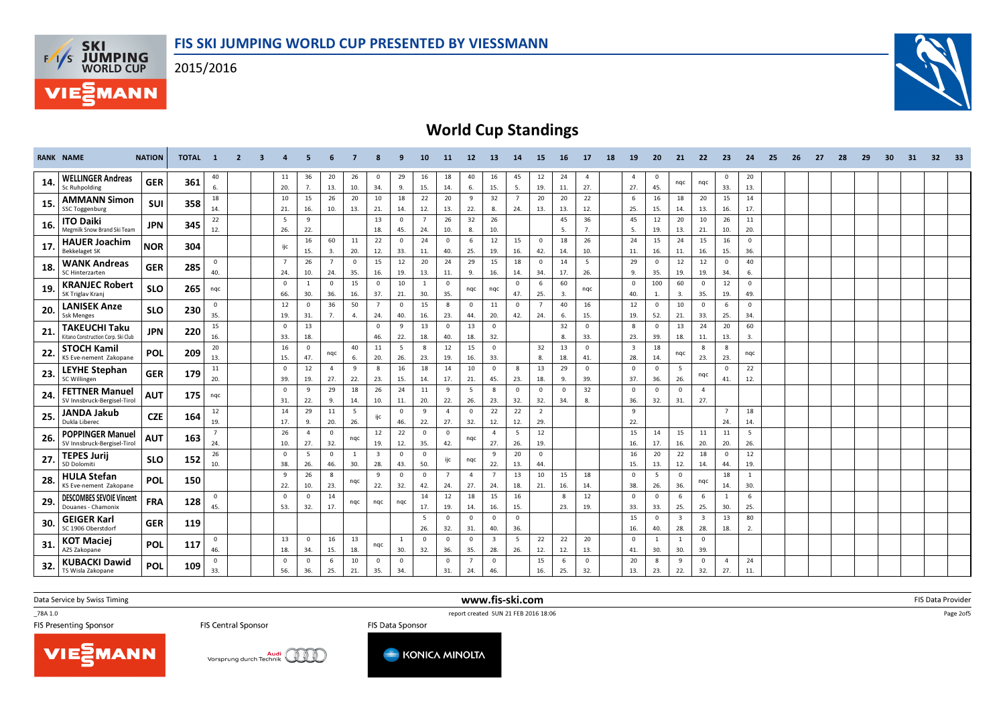2015/2016





## World Cup Standings

|     | <b>RANK NAME</b>                                           | <b>NATION</b> | <b>TOTAL</b> | $\blacksquare$        | $\overline{2}$ | $\overline{\mathbf{3}}$ | 4                     | -5                    | 6                     | -7                    | 8                              | 9                              | 10                    | 11                    | 12                    | 13                             | 14                    | 15                             | <b>16</b>       | 17                    | 18 | 19                             | 20                             | 21                             | 22                             | - 23                  | 24                  | 25 | 26 | 27 | 28 | 29 | 30 | 31 | 32 | - 33 |
|-----|------------------------------------------------------------|---------------|--------------|-----------------------|----------------|-------------------------|-----------------------|-----------------------|-----------------------|-----------------------|--------------------------------|--------------------------------|-----------------------|-----------------------|-----------------------|--------------------------------|-----------------------|--------------------------------|-----------------|-----------------------|----|--------------------------------|--------------------------------|--------------------------------|--------------------------------|-----------------------|---------------------|----|----|----|----|----|----|----|----|------|
| 14. | <b>WELLINGER Andreas</b><br>Sc Ruhpolding                  | <b>GER</b>    | 361          | 40<br>6.              |                |                         | 11<br>20.             | 36<br>7.              | 20<br>13.             | 26<br>10.             | $\mathbf 0$<br>34.             | 29<br>9.                       | 16<br>15.             | 18<br>14.             | 40<br>6.              | 16<br>15.                      | 45<br>5.              | 12<br>19.                      | 24<br>11.       | $\overline{4}$<br>27. |    | $\overline{4}$<br>27.          | $\mathbf 0$<br>45.             | ngc                            | nqc                            | $\mathbf 0$<br>33.    | 20<br>13.           |    |    |    |    |    |    |    |    |      |
| 15. | <b>AMMANN Simon</b><br><b>SSC Toggenburg</b>               | <b>SUI</b>    | 358          | 18<br>14.             |                |                         | 10<br>21.             | 15<br>16.             | 26<br>10.             | 20<br>13.             | 10<br>21.                      | 18<br>14.                      | 22<br>12.             | 20<br>13.             | 9<br>22.              | 32<br>8.                       | $\overline{7}$<br>24. | 20<br>13.                      | 20<br>13.       | 22<br>12.             |    | -6<br>25.                      | 16<br>15.                      | 18<br>14.                      | 20<br>13.                      | 15<br>16.             | 14<br>17.           |    |    |    |    |    |    |    |    |      |
| 16. | <b>ITO Daiki</b><br>Megmilk Snow Brand Ski Team            | <b>JPN</b>    | 345          | 22<br>12.             |                |                         | 5<br>26.              | 9<br>22.              |                       |                       | 13<br>18.                      | $\overline{0}$<br>45.          | $\overline{7}$<br>24. | 26<br>10.             | 32<br>8.              | 26<br>10.                      |                       |                                | 45<br>5.        | 36<br>7.              |    | 45<br>5.                       | 12<br>19.                      | 20<br>13.                      | 10<br>21.                      | 26<br>10.             | $11\,$<br>20.       |    |    |    |    |    |    |    |    |      |
| 17  | <b>HAUER Joachim</b><br><b>Bekkelaget SK</b>               | <b>NOR</b>    | 304          |                       |                |                         | ijc                   | 16<br>15.             | 60<br>3.              | 11<br>20.             | 22<br>12.                      | $\overline{0}$<br>33.          | 24<br>11.             | $\mathbf{0}$<br>40.   | 6<br>25.              | 12<br>19.                      | 15<br>16.             | $\overline{0}$<br>42.          | 18<br>14.       | 26<br>10.             |    | 24<br>11.                      | 15<br>16.                      | 24<br>11.                      | 15<br>16.                      | 16<br>15.             | $\mathbf{0}$<br>36. |    |    |    |    |    |    |    |    |      |
| 18. | <b>WANK Andreas</b><br>SC Hinterzarten                     | <b>GER</b>    | 285          | $\mathbf 0$<br>40.    |                |                         | $\overline{7}$<br>24. | 26<br>10.             | $\overline{7}$<br>24. | $\Omega$<br>35.       | 15<br>16.                      | 12<br>19.                      | 20<br>13.             | 24<br>11.             | 29<br>9.              | 15<br>16.                      | 18<br>14.             | $\overline{0}$<br>34.          | 14<br>17.       | 5<br>26.              |    | 29<br>9.                       | $\overline{\mathbf{0}}$<br>35. | 12<br>19.                      | 12<br>19.                      | $\overline{0}$<br>34. | 40<br>6.            |    |    |    |    |    |    |    |    |      |
| 19. | <b>KRANJEC Robert</b><br>SK Triglav Krani                  | <b>SLO</b>    | 265          | ngc                   |                |                         | $\mathbf 0$<br>66.    | $\mathbf{1}$<br>30.   | $\Omega$<br>36.       | 15<br>16.             | $\mathbf{0}$<br>37.            | 10<br>21.                      | $\overline{1}$<br>30. | $^{\circ}$<br>35.     | ngc                   | ngc                            | $\mathbf{0}$<br>47.   | - 6<br>25.                     | 60<br>3.        | ngc                   |    | $\Omega$<br>40.                | 100<br>$\mathbf{1}$            | 60<br>3.                       | $\mathbf 0$<br>35.             | 12<br>19.             | $\mathbf{0}$<br>49. |    |    |    |    |    |    |    |    |      |
| 20. | <b>LANISEK Anze</b><br><b>Ssk Menges</b>                   | <b>SLO</b>    | 230          | $\mathbf 0$<br>35.    |                |                         | 12<br>19.             | $\mathbf{0}$<br>31.   | 36<br>7.              | 50<br>4.              | $\overline{7}$<br>24.          | $\overline{\mathbf{0}}$<br>40. | 15<br>16.             | 8<br>23.              | 0<br>44.              | 11<br>20.                      | $\mathbf{0}$<br>42.   | $\overline{7}$<br>24.          | 40<br>6.        | 16<br>15.             |    | 12<br>19.                      | $\overline{0}$<br>52.          | 10<br>21.                      | $\mathbf 0$<br>33.             | 6<br>25.              | $\Omega$<br>34.     |    |    |    |    |    |    |    |    |      |
| 21  | <b>TAKEUCHI Taku</b><br>Kitano Construction Corp. Ski Club | <b>JPN</b>    | 220          | 15<br>16.             |                |                         | $\Omega$<br>33.       | 13<br>18.             |                       |                       | $\Omega$<br>46.                | 9<br>22.                       | 13<br>18.             | $\mathbf 0$<br>40.    | 13<br>18.             | $\mathbf{0}$<br>32.            |                       |                                | 32<br>8.        | $\overline{0}$<br>33. |    | 8<br>23.                       | $\Omega$<br>39.                | 13<br>18.                      | 24<br>11.                      | 20<br>13.             | 60<br>3.            |    |    |    |    |    |    |    |    |      |
| 22. | <b>STOCH Kamil</b><br>KS Eve-nement Zakopane               | POL           | 209          | 20<br>13.             |                |                         | 16<br>15.             | $\mathbf 0$<br>47.    | nqc                   | 40<br>6.              | 11<br>20.                      | 5<br>26.                       | 8<br>23.              | 12<br>19.             | 15<br>16.             | $\mathbf{0}$<br>33.            |                       | 32<br>8.                       | 13<br>18.       | $\mathbf{0}$<br>41.   |    | $\overline{\mathbf{3}}$<br>28. | 18<br>14.                      | nqc                            | 8<br>23.                       | 8<br>23.              | ngc                 |    |    |    |    |    |    |    |    |      |
| 23. | LEYHE Stephan<br><b>SC Willingen</b>                       | <b>GER</b>    | 179          | 11<br>20.             |                |                         | $\mathbf 0$<br>39.    | 12<br>19.             | $\overline{4}$<br>27. | 9<br>22.              | 8<br>23.                       | 16<br>15.                      | 18<br>14.             | 14<br>17.             | 10<br>21.             | $\mathbf{0}$<br>45.            | 8<br>23.              | 13<br>18.                      | 29<br>9.        | $\overline{0}$<br>39. |    | $\Omega$<br>37.                | $\overline{\mathbf{0}}$<br>36. | -5<br>26.                      | nqc                            | $\overline{0}$<br>41. | 22<br>12.           |    |    |    |    |    |    |    |    |      |
| 24. | <b>FETTNER Manuel</b><br>SV Innsbruck-Bergisel-Tirol       | <b>AUT</b>    | 175          | ngc                   |                |                         | $\Omega$<br>31.       | 9<br>22.              | 29<br>9.              | 18<br>14.             | 26<br>10.                      | 24<br>11.                      | 11<br>20.             | $\overline{9}$<br>22. | 5<br>26.              | 8<br>23.                       | $\Omega$<br>32.       | $\Omega$<br>32.                | $\Omega$<br>34. | 32<br>8.              |    | $\Omega$<br>36.                | $\Omega$<br>32.                | $\mathbf{0}$<br>31.            | $\overline{4}$<br>27.          |                       |                     |    |    |    |    |    |    |    |    |      |
| 25. | <b>JANDA Jakub</b><br>Dukla Liberec                        | <b>CZE</b>    | 164          | 12<br>19.             |                |                         | 14<br>17.             | 29<br>9.              | 11<br>20.             | - 5<br>26.            | ijc                            | $\overline{0}$<br>46.          | 9<br>22.              | $\overline{4}$<br>27. | $\mathbf 0$<br>32.    | 22<br>12.                      | 22<br>12.             | $\overline{2}$<br>29.          |                 |                       |    | 9<br>22.                       |                                |                                |                                | $\overline{7}$<br>24. | 18<br>14.           |    |    |    |    |    |    |    |    |      |
| 26. | <b>POPPINGER Manuel</b><br>SV Innsbruck-Bergisel-Tirol     | <b>AUT</b>    | 163          | $\overline{7}$<br>24. |                |                         | 26<br>10.             | $\overline{a}$<br>27. | $\mathbf{0}$<br>32.   | nqc                   | 12<br>19.                      | 22<br>12.                      | $\overline{0}$<br>35. | $\mathbf 0$<br>42.    | ngc                   | $\overline{4}$<br>27.          | 5<br>26.              | 12<br>19.                      |                 |                       |    | 15<br>16.                      | 14<br>17.                      | 15<br>16.                      | 11<br>20.                      | 11<br>20.             | 5<br>26.            |    |    |    |    |    |    |    |    |      |
| 27  | <b>TEPES Jurij</b><br>SD Dolomiti                          | <b>SLO</b>    | 152          | 26<br>10.             |                |                         | $\mathbf 0$<br>38.    | .5<br>26.             | $\mathbf 0$<br>46.    | $\overline{1}$<br>30. | $\overline{\mathbf{3}}$<br>28. | $\overline{0}$<br>43.          | $\overline{0}$<br>50. | ijc                   | ngc                   | 9<br>22.                       | 20<br>13.             | $\overline{\mathbf{0}}$<br>44. |                 |                       |    | 16<br>15.                      | 20<br>13.                      | 22<br>12.                      | 18<br>14.                      | $\mathbf{0}$<br>44.   | 12<br>19.           |    |    |    |    |    |    |    |    |      |
| 28. | <b>HULA Stefan</b><br>KS Eve-nement Zakopane               | POL           | 150          |                       |                |                         | 9<br>22.              | 26<br>10.             | 8<br>23.              | nqc                   | 9<br>22.                       | $\overline{0}$<br>32.          | $\overline{0}$<br>42. | $\overline{7}$<br>24. | $\overline{4}$<br>27. | $\overline{7}$<br>24.          | 13<br>18.             | 10<br>21.                      | 15<br>16.       | 18<br>14.             |    | $\Omega$<br>38.                | 5<br>26.                       | $\mathbf{0}$<br>36.            | nqc                            | 18<br>14.             | $\mathbf{1}$<br>30. |    |    |    |    |    |    |    |    |      |
| 29  | <b>DESCOMBES SEVOIE Vincent</b><br>Douanes - Chamonix      | <b>FRA</b>    | 128          | $\mathbf 0$<br>45.    |                |                         | $\mathbf 0$<br>53.    | $\Omega$<br>32.       | 14<br>17.             | ngc                   | nqc                            | ngc                            | 14<br>17.             | 12<br>19.             | 18<br>14.             | 15<br>16.                      | 16<br>15.             |                                | 8<br>23.        | 12<br>19.             |    | $\Omega$<br>33.                | $\overline{\mathbf{0}}$<br>33. | 6<br>25.                       | 6<br>25.                       | $\mathbf{1}$<br>30.   | 6<br>25.            |    |    |    |    |    |    |    |    |      |
| 30. | <b>GEIGER Karl</b><br>SC 1906 Oberstdorf                   | <b>GER</b>    | 119          |                       |                |                         |                       |                       |                       |                       |                                |                                | 5<br>26.              | $\mathbf 0$<br>32.    | $\mathbf 0$<br>31.    | $\overline{0}$<br>40.          | $\mathbf 0$<br>36.    |                                |                 |                       |    | 15<br>16.                      | $\overline{0}$<br>40.          | $\overline{\mathbf{3}}$<br>28. | $\overline{\mathbf{3}}$<br>28. | 13<br>18.             | 80<br>2.            |    |    |    |    |    |    |    |    |      |
| 31. | KOT Maciej<br>AZS Zakopane                                 | <b>POL</b>    | 117          | $\mathbf 0$<br>46.    |                |                         | 13<br>18.             | $\mathbf{0}$<br>34.   | 16<br>15.             | 13<br>18.             | ngc                            | 1<br>30.                       | $\overline{0}$<br>32. | $\mathbf 0$<br>36.    | $\Omega$<br>35.       | $\overline{\mathbf{3}}$<br>28. | 5<br>26.              | 22<br>12.                      | 22<br>12.       | 20<br>13.             |    | $\Omega$<br>41.                | $\overline{1}$<br>30.          | 1<br>30.                       | $\mathbf{0}$<br>39.            |                       |                     |    |    |    |    |    |    |    |    |      |
| 32. | <b>KUBACKI Dawid</b><br>TS Wisla Zakopane                  | POL           | 109          | $\mathbf 0$<br>33.    |                |                         | $\mathbf 0$<br>56.    | $\mathbf 0$<br>36.    | 6<br>25.              | 10<br>21.             | $\mathbf 0$<br>35.             | $\overline{0}$<br>34.          |                       | $\mathbf 0$<br>31.    | 24.                   | $\mathbf 0$<br>46.             |                       | 15<br>16.                      | 6<br>25.        | $\mathbf 0$<br>32.    |    | 20<br>13.                      | 8<br>23.                       | 9<br>22.                       | $\mathbf 0$<br>32.             | $\overline{a}$<br>27. | 24<br>11.           |    |    |    |    |    |    |    |    |      |

www.fis-ski.com

Data Service by Swiss Timing

\_78A 1.0

**FIS Central Sponsor** 

**Audi** Vorsprung durch Technik

TEAN 1.0<br>
FIS Presenting Sponsor<br>
FIS Presenting Sponsor<br>
FIS Presenting Sponsor<br>
FIS Presenting Sponsor FIS Data Sponsor



m FIS Data Provider<br>Calculation of the Calculation of the Calculation of the Calculation of the Calculation of the Calculation of

Page 2of5

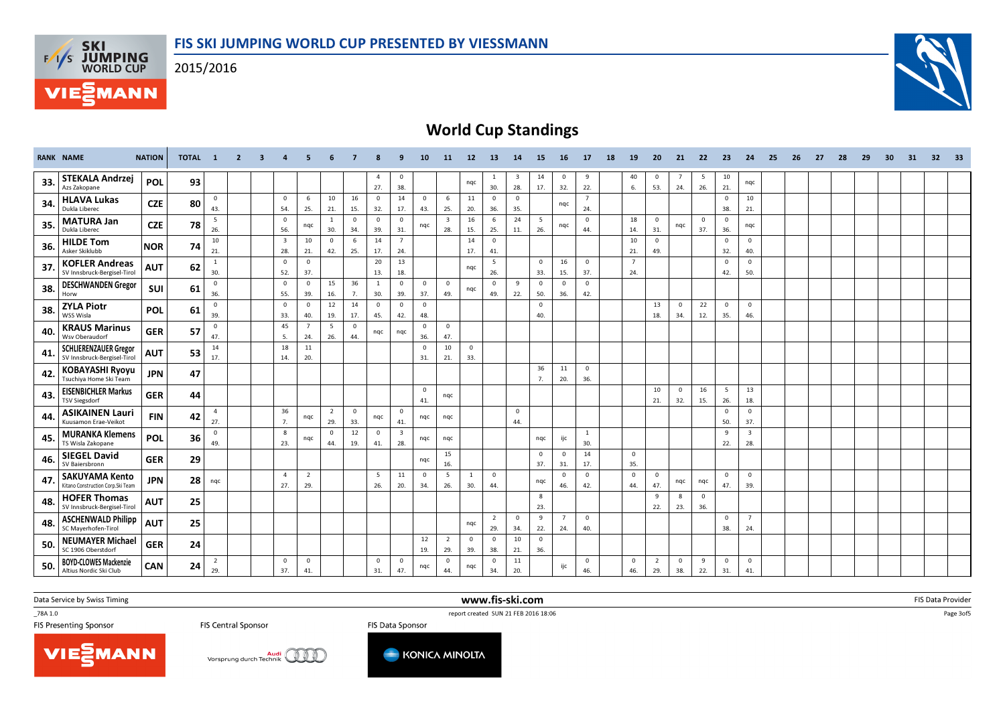**F/T/S SKI<br>WORLD CUP** 

MANN



## World Cup Standings

|     | <b>RANK NAME</b>                                            | <b>NATION</b> | TOTAL 1 |                       | $\overline{2}$ | $\overline{\mathbf{3}}$ | -4                             | 5                     | 6                     | $\overline{7}$        | 8                   | 9                              | 10                    | 11                             | 12                 | 13                    | 14                             | 15                    | 16                    | 17                    | 18 | 19                    | 20                    | 21                    | 22                  | 23                    | 24                             | 25 | 26 27 | 28 | 29 | 30 <sub>1</sub> | 31 | 32 | 33 |
|-----|-------------------------------------------------------------|---------------|---------|-----------------------|----------------|-------------------------|--------------------------------|-----------------------|-----------------------|-----------------------|---------------------|--------------------------------|-----------------------|--------------------------------|--------------------|-----------------------|--------------------------------|-----------------------|-----------------------|-----------------------|----|-----------------------|-----------------------|-----------------------|---------------------|-----------------------|--------------------------------|----|-------|----|----|-----------------|----|----|----|
| 33. | <b>STEKALA Andrzej</b><br>Azs Zakopane                      | POL           | 93      |                       |                |                         |                                |                       |                       |                       | $\Delta$<br>27.     | $\overline{0}$<br>38.          |                       |                                | nqc                | <sup>1</sup><br>30.   | $\overline{\mathbf{3}}$<br>28. | 14<br>17.             | $\overline{0}$<br>32. | 9<br>22.              |    | 40<br>6.              | $\mathbf{0}$<br>53.   | $\overline{7}$<br>24. | 5<br>26.            | 10<br>21.             | ngc                            |    |       |    |    |                 |    |    |    |
| 34. | <b>HLAVA Lukas</b><br>Dukla Liberec                         | <b>CZE</b>    | 80      | $\mathbf 0$<br>43.    |                |                         | $\mathbf 0$<br>54.             | 6<br>25.              | 10<br>21.             | 16<br>15.             | $\mathbf{0}$<br>32. | 14<br>17.                      | $\overline{0}$<br>43. | 6<br>25.                       | 11<br>20.          | $\overline{0}$<br>36. | $\overline{0}$<br>35.          |                       | ngc                   | $\overline{7}$<br>24. |    |                       |                       |                       |                     | $\mathbf{0}$<br>38.   | 10<br>21.                      |    |       |    |    |                 |    |    |    |
| 35. | <b>MATURA Jan</b><br>Dukla Liberec                          | <b>CZE</b>    | 78      | 5<br>26.              |                |                         | $\mathbf 0$<br>56.             | ngc                   | 1<br>30.              | $\mathbf{0}$<br>34.   | $\mathbf 0$<br>39.  | $\mathbf 0$<br>31.             | nqc                   | $\overline{\mathbf{3}}$<br>28. | 16<br>15.          | 6<br>25.              | 24<br>11.                      | 5<br>26.              | nqc                   | $\mathbf{0}$<br>44.   |    | 18<br>14.             | $\overline{0}$<br>31. | nqc                   | $\mathbf{0}$<br>37. | $\mathbf 0$<br>36.    | nqc                            |    |       |    |    |                 |    |    |    |
| 36. | <b>HILDE Tom</b><br>Asker Skiklubb                          | <b>NOR</b>    | 74      | 10<br>21.             |                |                         | $\overline{\mathbf{3}}$<br>28. | 10<br>21.             | $\overline{0}$<br>42. | 6<br>25.              | 14<br>17.           | $\overline{7}$<br>24.          |                       |                                | 14<br>17.          | $\overline{0}$<br>41. |                                |                       |                       |                       |    | 10<br>21.             | $\mathbf 0$<br>49.    |                       |                     | $\mathbf{0}$<br>32.   | $\mathbf{0}$<br>40.            |    |       |    |    |                 |    |    |    |
| 37. | <b>KOFLER Andreas</b><br>SV Innsbruck-Bergisel-Tirol        | <b>AUT</b>    | 62      | 1<br>30.              |                |                         | $\mathbf 0$<br>52.             | $\mathbf{0}$<br>37.   |                       |                       | 20<br>13.           | 13<br>18.                      |                       |                                | nqc                | 5<br>26.              |                                | $\mathbf{0}$<br>33.   | 16<br>15.             | $\mathbf{0}$<br>37.   |    | $\overline{7}$<br>24. |                       |                       |                     | $\overline{0}$<br>42. | $\mathbf{0}$<br>50.            |    |       |    |    |                 |    |    |    |
| 38. | <b>DESCHWANDEN Gregor</b><br>Horw                           | <b>SUI</b>    | 61      | $\overline{0}$<br>36. |                |                         | $\mathbf 0$<br>55.             | $^{\circ}$<br>39.     | 15<br>16.             | 36<br>7.              | 1<br>30.            | $\mathbf 0$<br>39.             | $\overline{0}$<br>37. | $\mathbf{0}$<br>49.            | nqc                | $^{\circ}$<br>49.     | 9<br>22.                       | $\Omega$<br>50.       | $\mathbf{0}$<br>36.   | $\mathbf{0}$<br>42.   |    |                       |                       |                       |                     |                       |                                |    |       |    |    |                 |    |    |    |
| 38. | <b>ZYLA Piotr</b><br>WSS Wisla                              | POL           | 61      | $\mathbf 0$<br>39.    |                |                         | $\mathbf 0$<br>33.             | $\mathbf{0}$<br>40.   | 12<br>19.             | 14<br>17.             | $\mathbf{0}$<br>45. | $\mathbf 0$<br>42.             | $\overline{0}$<br>48. |                                |                    |                       |                                | $\mathbf{0}$<br>40.   |                       |                       |    |                       | 13<br>18.             | $\overline{0}$<br>34. | 22<br>12.           | $\mathbf 0$<br>35.    | $\overline{0}$<br>46.          |    |       |    |    |                 |    |    |    |
| 40. | <b>KRAUS Marinus</b><br>Wsv Oberaudorf                      | <b>GER</b>    | 57      | $\mathbf 0$<br>47.    |                |                         | 45<br>5.                       | $\overline{7}$<br>24. | 5<br>26.              | $\overline{0}$<br>44. | ngc                 | ngc                            | $\overline{0}$<br>36. | $\mathbf{0}$<br>47.            |                    |                       |                                |                       |                       |                       |    |                       |                       |                       |                     |                       |                                |    |       |    |    |                 |    |    |    |
| 41. | <b>SCHLIERENZAUER Gregor</b><br>SV Innsbruck-Bergisel-Tirol | <b>AUT</b>    | 53      | 14<br>17.             |                |                         | 18<br>14.                      | 11<br>20.             |                       |                       |                     |                                | $\mathbf 0$<br>31.    | 10<br>21.                      | $\mathbf 0$<br>33. |                       |                                |                       |                       |                       |    |                       |                       |                       |                     |                       |                                |    |       |    |    |                 |    |    |    |
| 42. | <b>KOBAYASHI Ryoyu</b><br>Tsuchiya Home Ski Team            | <b>JPN</b>    | 47      |                       |                |                         |                                |                       |                       |                       |                     |                                |                       |                                |                    |                       |                                | 36<br>7.              | 11<br>20.             | $\mathbf{0}$<br>36.   |    |                       |                       |                       |                     |                       |                                |    |       |    |    |                 |    |    |    |
| 43  | <b>EISENBICHLER Markus</b><br><b>TSV Siegsdorf</b>          | <b>GER</b>    | 44      |                       |                |                         |                                |                       |                       |                       |                     |                                | $\mathbf 0$<br>41.    | nqc                            |                    |                       |                                |                       |                       |                       |    |                       | 10<br>21.             | $\overline{0}$<br>32. | 16<br>15.           | 5<br>26.              | 13<br>18.                      |    |       |    |    |                 |    |    |    |
| 44  | <b>ASIKAINEN Lauri</b><br>Kuusamon Erae-Veikot              | <b>FIN</b>    | 42      | $\overline{4}$<br>27. |                |                         | 36<br>7.                       | ngc                   | $\overline{2}$<br>29. | $\overline{0}$<br>33. | nqc                 | $\mathbf 0$<br>41.             | nqc                   | nqc                            |                    |                       | $\overline{0}$<br>44.          |                       |                       |                       |    |                       |                       |                       |                     | $\mathsf 0$<br>50.    | $\mathbf{0}$<br>37.            |    |       |    |    |                 |    |    |    |
| 45. | <b>MURANKA Klemens</b><br>TS Wisla Zakopane                 | POL           | 36      | $\mathbf 0$<br>49.    |                |                         | 8<br>23.                       | ngc                   | $\overline{0}$<br>44. | 12<br>19.             | $\mathbf{0}$<br>41. | $\overline{\mathbf{3}}$<br>28. | nqc                   | nqc                            |                    |                       |                                | nqc                   | ijc                   | $\mathbf{1}$<br>30.   |    |                       |                       |                       |                     | 9<br>22.              | $\overline{\mathbf{3}}$<br>28. |    |       |    |    |                 |    |    |    |
| 46. | <b>SIEGEL David</b><br>SV Baiersbronn                       | <b>GER</b>    | 29      |                       |                |                         |                                |                       |                       |                       |                     |                                | nqc                   | 15<br>16.                      |                    |                       |                                | $\mathbf 0$<br>37.    | $\mathbf{0}$<br>31.   | 14<br>17.             |    | $\mathbf 0$<br>35.    |                       |                       |                     |                       |                                |    |       |    |    |                 |    |    |    |
| 47  | <b>SAKUYAMA Kento</b><br>Kitano Construction Corp.Ski Team  | <b>JPN</b>    | 28      | nqc                   |                |                         | $\overline{4}$<br>27.          | $\overline{2}$<br>29. |                       |                       | - 5<br>26.          | 11<br>20.                      | $\overline{0}$<br>34. | 5<br>26.                       | 1<br>30.           | $\overline{0}$<br>44. |                                | ngc                   | $\mathbf{0}$<br>46.   | $\overline{0}$<br>42. |    | $\mathbf 0$<br>44.    | $\mathbf 0$<br>47.    | nqc                   | nqc                 | $\mathbf{0}$<br>47.   | $\mathbf{0}$<br>39.            |    |       |    |    |                 |    |    |    |
| 48. | <b>HOFER Thomas</b><br>SV Innsbruck-Bergisel-Tirol          | <b>AUT</b>    | 25      |                       |                |                         |                                |                       |                       |                       |                     |                                |                       |                                |                    |                       |                                | 8<br>23.              |                       |                       |    |                       | 9<br>22.              | 8<br>23.              | $\mathbf{0}$<br>36. |                       |                                |    |       |    |    |                 |    |    |    |
| 48. | <b>ASCHENWALD Philipp</b><br>SC Mayerhofen-Tirol            | <b>AUT</b>    | 25      |                       |                |                         |                                |                       |                       |                       |                     |                                |                       |                                | ngc                | $\overline{2}$<br>29. | $\overline{0}$<br>34.          | 9<br>22.              | $\overline{7}$<br>24. | $\mathbf{0}$<br>40.   |    |                       |                       |                       |                     | $\mathsf 0$<br>38.    | $7^{\circ}$<br>24.             |    |       |    |    |                 |    |    |    |
| 50. | <b>NEUMAYER Michael</b><br>SC 1906 Oberstdorf               | <b>GER</b>    | 24      |                       |                |                         |                                |                       |                       |                       |                     |                                | 12<br>19.             | $\overline{2}$<br>29.          | $\mathbf 0$<br>39. | $\overline{0}$<br>38. | 10<br>21.                      | $\overline{0}$<br>36. |                       |                       |    |                       |                       |                       |                     |                       |                                |    |       |    |    |                 |    |    |    |
| 50. | <b>BOYD-CLOWES Mackenzie</b><br>Altius Nordic Ski Club      | <b>CAN</b>    | 24      | $\overline{2}$<br>29. |                |                         | $\mathbf 0$<br>37.             | $\mathbf{0}$<br>41.   |                       |                       | $\mathbf 0$<br>31.  | $\mathbf 0$<br>47.             | nqc                   | $\mathbf 0$<br>44.             | nqc                | $\mathbf 0$<br>34.    | 11<br>20.                      |                       | ijc                   | $\mathbf{0}$<br>46.   |    | $\mathbf{0}$<br>46.   | 2<br>29.              | $\mathbf{0}$<br>38.   | 9<br>22.            | $\mathbf 0$<br>31.    | $\mathbf{0}$<br>41.            |    |       |    |    |                 |    |    |    |

Data Service by Swiss Timing

\_78A 1.0

**FIS Central Sponsor** 

TEAN 1.0<br>
FIS Presenting Sponsor<br>
FIS Presenting Sponsor<br>
FIS Presenting Sponsor<br>
FIS Presenting Sponsor FIS Data Sponsor

www.fis-ski.com

m FIS Data Provider<br>Calculation of the Calculation of the Calculation of the Calculation of the Calculation of the Calculation of

Page 3of5





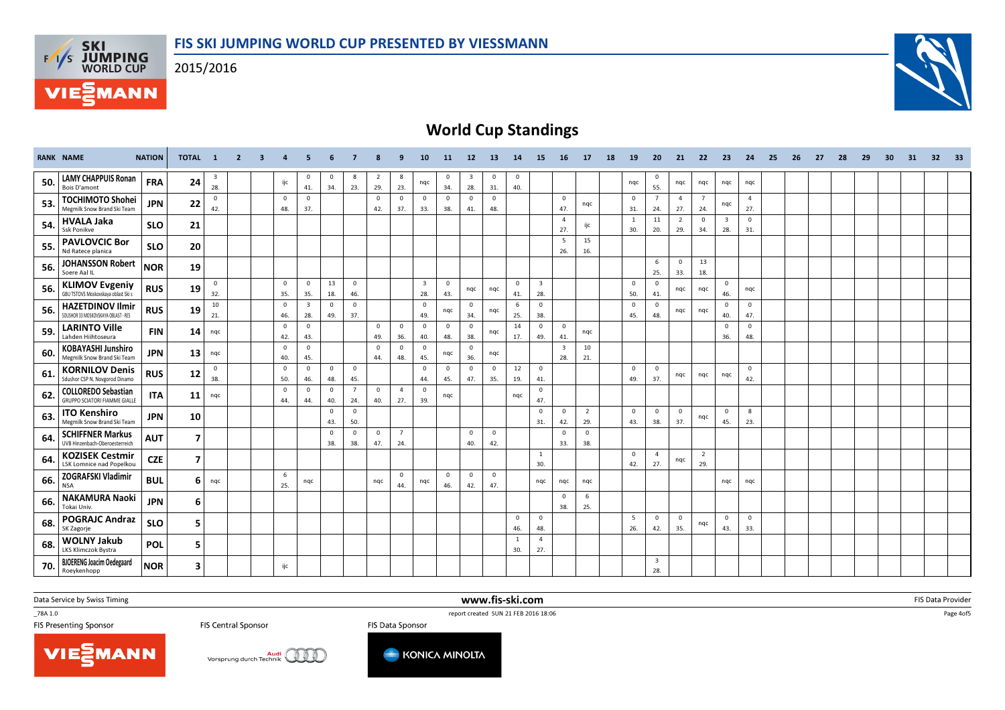**F/T/S SKI<br>WORLD CUP** 

**MANN** 



## World Cup Standings

|     | <b>RANK NAME</b>                                                   | <b>NATION</b> | TOTAL 1                 |                                | $\overline{2}$ | $\mathbf{3}$ | $\overline{4}$        | 5                     | 6                   | $\overline{7}$        | 8                     | 9                     | 10                             | 11                    | 12                             | <b>13</b>             | 14                  | 15                             | 16                             | 17                      | 18 | 19                  | 20                             | 21                    | 22                    | - 23                           | 24                    | 25 | 26 | 27 | - 28 | 29 | 30 <sub>1</sub> | 31 | 32 | 33 |
|-----|--------------------------------------------------------------------|---------------|-------------------------|--------------------------------|----------------|--------------|-----------------------|-----------------------|---------------------|-----------------------|-----------------------|-----------------------|--------------------------------|-----------------------|--------------------------------|-----------------------|---------------------|--------------------------------|--------------------------------|-------------------------|----|---------------------|--------------------------------|-----------------------|-----------------------|--------------------------------|-----------------------|----|----|----|------|----|-----------------|----|----|----|
| 50. | <b>LAMY CHAPPUIS Ronan</b><br><b>Bois D'amont</b>                  | <b>FRA</b>    | 24                      | $\overline{\mathbf{3}}$<br>28. |                |              | ijc                   | $\mathbf{0}$<br>41.   | $\mathbf{0}$<br>34. | -8<br>23.             | $\overline{2}$<br>29. | 8<br>23.              | nqc                            | $\mathbf 0$<br>34.    | $\overline{\mathbf{3}}$<br>28. | $\overline{0}$<br>31. | $\mathbf 0$<br>40.  |                                |                                |                         |    | nqc                 | $\mathbf 0$<br>55.             | ngc                   | nqc                   | nqc                            | nqc                   |    |    |    |      |    |                 |    |    |    |
| 53. | <b>TOCHIMOTO Shohei</b><br>Megmilk Snow Brand Ski Team             | <b>JPN</b>    | 22                      | $\mathbf 0$<br>42.             |                |              | $\mathbf 0$<br>48.    | $\mathbf{0}$<br>37.   |                     |                       | $\mathbf{0}$<br>42.   | $\overline{0}$<br>37. | $\overline{0}$<br>33.          | $\mathbf 0$<br>38.    | $\mathbf 0$<br>41.             | $\mathbf{0}$<br>48.   |                     |                                | $\mathbf{0}$<br>47.            | nqc                     |    | $\mathbf{0}$<br>31. | $\overline{7}$<br>24.          | $\overline{4}$<br>27. | $\overline{7}$<br>24. | nqc                            | $\overline{4}$<br>27. |    |    |    |      |    |                 |    |    |    |
| 54. | <b>HVALA Jaka</b><br><b>Ssk Ponikve</b>                            | <b>SLO</b>    | 21                      |                                |                |              |                       |                       |                     |                       |                       |                       |                                |                       |                                |                       |                     |                                | $\overline{4}$<br>27.          | ijc                     |    | 1<br>30.            | $11\,$<br>20.                  | $\overline{2}$<br>29. | $\mathbf 0$<br>34.    | $\overline{\mathbf{3}}$<br>28. | $\mathbf{0}$<br>31.   |    |    |    |      |    |                 |    |    |    |
| 55. | <b>PAVLOVCIC Bor</b><br>Nd Ratece planica                          | <b>SLO</b>    | 20                      |                                |                |              |                       |                       |                     |                       |                       |                       |                                |                       |                                |                       |                     |                                | 5<br>26.                       | 15<br>16.               |    |                     |                                |                       |                       |                                |                       |    |    |    |      |    |                 |    |    |    |
| 56. | <b>JOHANSSON Robert</b><br>Soere Aal IL                            | <b>NOR</b>    | 19                      |                                |                |              |                       |                       |                     |                       |                       |                       |                                |                       |                                |                       |                     |                                |                                |                         |    |                     | 6<br>25.                       | $\mathbf 0$<br>33.    | 13<br>18.             |                                |                       |    |    |    |      |    |                 |    |    |    |
| 56. | <b>KLIMOV Evgeniy</b><br>GBU TSTOVS Moskovskava oblast Ski s       | <b>RUS</b>    | 19                      | $\mathbf 0$<br>32.             |                |              | $\overline{0}$<br>35. | $\mathbf{0}$<br>35.   | 13<br>18.           | $\overline{0}$<br>46. |                       |                       | $\overline{\mathbf{3}}$<br>28. | $\overline{0}$<br>43. | nqc                            | ngc                   | $\mathbf{0}$<br>41. | $\overline{\mathbf{3}}$<br>28. |                                |                         |    | $\mathbf{0}$<br>50. | $\overline{0}$<br>41.          | ngc                   | ngc                   | $\mathbf{0}$<br>46.            | nqc                   |    |    |    |      |    |                 |    |    |    |
| 56. | <b>HAZETDINOV Ilmir</b><br>SDUSHOR 33 MOSKOVSKAYA OBLAST - RES     | <b>RUS</b>    | 19                      | 10<br>21.                      |                |              | $\mathbf{0}$<br>46.   | $\overline{3}$<br>28. | $\mathbf 0$<br>49.  | $\mathbf{0}$<br>37.   |                       |                       | $\overline{0}$<br>49.          | nqc                   | $\mathbf 0$<br>34.             | nqc                   | 6<br>25.            | $\overline{0}$<br>38.          |                                |                         |    | $\mathbf 0$<br>45.  | $\mathbf 0$<br>48.             | ngc                   | ngc                   | $\mathbf 0$<br>40.             | $\mathbf{0}$<br>47.   |    |    |    |      |    |                 |    |    |    |
| 59. | <b>LARINTO Ville</b><br>Lahden Hiihtoseura                         | <b>FIN</b>    | 14                      | ngc                            |                |              | $\mathbf 0$<br>42.    | $\mathbf 0$<br>43.    |                     |                       | $\mathbf 0$<br>49.    | $\overline{0}$<br>36. | $\overline{0}$<br>40.          | $\mathbf{0}$<br>48.   | $\mathbf 0$<br>38.             | ngc                   | 14<br>17.           | $\overline{0}$<br>49.          | $\mathbf{0}$<br>41.            | nqc                     |    |                     |                                |                       |                       | $\mathbf{0}$<br>36.            | $\mathbf{0}$<br>48.   |    |    |    |      |    |                 |    |    |    |
| 60. | <b>KOBAYASHI Junshiro</b><br>Megmilk Snow Brand Ski Team           | <b>JPN</b>    | 13                      | nqc                            |                |              | $\mathbf{0}$<br>40.   | $\mathbf 0$<br>45.    |                     |                       | $\mathbf 0$<br>44.    | $\overline{0}$<br>48. | $\overline{0}$<br>45.          | nqc                   | $\mathbf 0$<br>36.             | nqc                   |                     |                                | $\overline{\mathbf{3}}$<br>28. | 10 <sup>10</sup><br>21. |    |                     |                                |                       |                       |                                |                       |    |    |    |      |    |                 |    |    |    |
| 61. | <b>KORNILOV Denis</b><br>Sdushor CSP N. Novgorod Dinamo            | <b>RUS</b>    | 12                      | $\mathbf 0$<br>38.             |                |              | $\mathbf{0}$<br>50.   | $\mathbf 0$<br>46.    | $\mathbf 0$<br>48.  | $\overline{0}$<br>45. |                       |                       | $\overline{0}$<br>44.          | $\mathbf 0$<br>45.    | $\mathbf 0$<br>47.             | $\mathbf{0}$<br>35.   | 12<br>19.           | $\overline{0}$<br>41.          |                                |                         |    | $\Omega$<br>49.     | $\overline{0}$<br>37.          | ngc                   | ngc                   | ngc                            | $\mathbf{0}$<br>42.   |    |    |    |      |    |                 |    |    |    |
| 62. | <b>COLLOREDO Sebastian</b><br><b>GRUPPO SCIATORI FIAMME GIALLE</b> | <b>ITA</b>    | 11                      | nqc                            |                |              | $\mathbf 0$<br>44.    | $\mathbf{0}$<br>44.   | $\mathbf{0}$<br>40. | $\overline{7}$<br>24. | $\mathbf{0}$<br>40.   | $\overline{4}$<br>27. | $\overline{0}$<br>39.          | nqc                   |                                |                       | ngc                 | $\overline{0}$<br>47.          |                                |                         |    |                     |                                |                       |                       |                                |                       |    |    |    |      |    |                 |    |    |    |
| 63. | <b>ITO Kenshiro</b><br>Megmilk Snow Brand Ski Team                 | <b>JPN</b>    | 10                      |                                |                |              |                       |                       | $\mathbf 0$<br>43.  | $\overline{0}$<br>50. |                       |                       |                                |                       |                                |                       |                     | $\mathbf 0$<br>31.             | $\mathbf{0}$<br>42.            | $\overline{2}$<br>29.   |    | $\Omega$<br>43.     | $\overline{0}$<br>38.          | $\mathbf{0}$<br>37.   | nqc                   | $\mathbf{0}$<br>45.            | 8<br>23.              |    |    |    |      |    |                 |    |    |    |
| 64  | <b>SCHIFFNER Markus</b><br>UVB Hinzenbach-Oberoesterreich          | <b>AUT</b>    | $\overline{\mathbf{z}}$ |                                |                |              |                       |                       | $\mathbf 0$<br>38.  | $\mathbf{0}$<br>38.   | $\mathbf{0}$<br>47.   | $\overline{7}$<br>24. |                                |                       | $\mathbf 0$<br>40.             | $\mathbf{0}$<br>42.   |                     |                                | $\mathbf{0}$<br>33.            | $\overline{0}$<br>38.   |    |                     |                                |                       |                       |                                |                       |    |    |    |      |    |                 |    |    |    |
| 64  | <b>KOZISEK Cestmir</b><br><b>LSK Lomnice nad Popelkou</b>          | <b>CZE</b>    | $\overline{\mathbf{z}}$ |                                |                |              |                       |                       |                     |                       |                       |                       |                                |                       |                                |                       |                     | <sup>1</sup><br>30.            |                                |                         |    | $\Omega$<br>42.     | $\overline{4}$<br>27.          | ngc                   | $\overline{2}$<br>29. |                                |                       |    |    |    |      |    |                 |    |    |    |
| 66. | ZOGRAFSKI Vladimir<br><b>NSA</b>                                   | <b>BUL</b>    | 6 I                     | ngc                            |                |              | 6<br>25.              | nqc                   |                     |                       | ngc                   | $\mathbf 0$<br>44     | nqc                            | $\mathbf 0$<br>46.    | $\mathbf 0$<br>42.             | $\mathbf{0}$<br>47.   |                     | ngc                            | ngc                            | nqc                     |    |                     |                                |                       |                       | nqc                            | ngc                   |    |    |    |      |    |                 |    |    |    |
| 66. | <b>NAKAMURA Naoki</b><br>Tokai Univ.                               | <b>JPN</b>    | 6                       |                                |                |              |                       |                       |                     |                       |                       |                       |                                |                       |                                |                       |                     |                                | $\mathbf{0}$<br>38.            | 6<br>25.                |    |                     |                                |                       |                       |                                |                       |    |    |    |      |    |                 |    |    |    |
| 68. | <b>POGRAJC Andraz</b><br>SK Zagorje                                | <b>SLO</b>    | 5                       |                                |                |              |                       |                       |                     |                       |                       |                       |                                |                       |                                |                       | $\mathbf{0}$<br>46. | $\overline{0}$<br>48.          |                                |                         |    | 5<br>26.            | $\overline{0}$<br>42.          | $\mathbf{0}$<br>35.   | nqc                   | $\mathbf{0}$<br>43.            | $\mathbf{0}$<br>33.   |    |    |    |      |    |                 |    |    |    |
| 68. | <b>WOLNY Jakub</b><br>LKS Klimczok Bystra                          | POL           | 5                       |                                |                |              |                       |                       |                     |                       |                       |                       |                                |                       |                                |                       | 1<br>30.            | $\overline{4}$<br>27.          |                                |                         |    |                     |                                |                       |                       |                                |                       |    |    |    |      |    |                 |    |    |    |
| 70. | <b>BJOERENG Joacim Oedegaard</b><br>Roeykenhopp                    | <b>NOR</b>    | $\overline{\mathbf{3}}$ |                                |                |              | ijc                   |                       |                     |                       |                       |                       |                                |                       |                                |                       |                     |                                |                                |                         |    |                     | $\overline{\mathbf{3}}$<br>28. |                       |                       |                                |                       |    |    |    |      |    |                 |    |    |    |

Data Service by Swiss Timing

\_78A 1.0

**FIS Central Sponsor** 

TEAN 1.0<br>
FIS Presenting Sponsor<br>
FIS Presenting Sponsor<br>
FIS Presenting Sponsor<br>
FIS Presenting Sponsor FIS Data Sponsor

www.fis-ski.com

m FIS Data Provider<br>Calculation of the Calculation of the Calculation of the Calculation of the Calculation of the Calculation of

Page 4of5